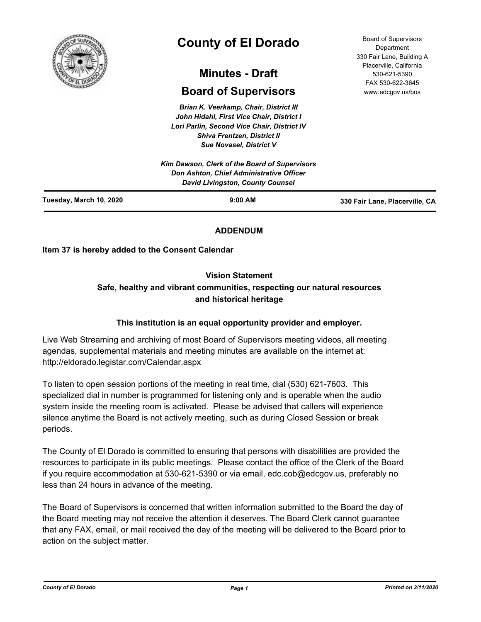

# **County of El Dorado**

## **Minutes - Draft**

## **Board of Supervisors**

*Brian K. Veerkamp, Chair, District III John Hidahl, First Vice Chair, District I Lori Parlin, Second Vice Chair, District IV Shiva Frentzen, District II Sue Novasel, District V*

Board of Supervisors Department 330 Fair Lane, Building A Placerville, California 530-621-5390 FAX 530-622-3645 www.edcgov.us/bos

|                         | Kim Dawson, Clerk of the Board of Supervisors<br><b>Don Ashton, Chief Administrative Officer</b><br><b>David Livingston, County Counsel</b> |                                |
|-------------------------|---------------------------------------------------------------------------------------------------------------------------------------------|--------------------------------|
| Tuesday, March 10, 2020 | $9:00$ AM                                                                                                                                   | 330 Fair Lane, Placerville, CA |

## **ADDENDUM**

**Item 37 is hereby added to the Consent Calendar**

## **Vision Statement**

## **Safe, healthy and vibrant communities, respecting our natural resources and historical heritage**

## **This institution is an equal opportunity provider and employer.**

Live Web Streaming and archiving of most Board of Supervisors meeting videos, all meeting agendas, supplemental materials and meeting minutes are available on the internet at: http://eldorado.legistar.com/Calendar.aspx

To listen to open session portions of the meeting in real time, dial (530) 621-7603. This specialized dial in number is programmed for listening only and is operable when the audio system inside the meeting room is activated. Please be advised that callers will experience silence anytime the Board is not actively meeting, such as during Closed Session or break periods.

The County of El Dorado is committed to ensuring that persons with disabilities are provided the resources to participate in its public meetings. Please contact the office of the Clerk of the Board if you require accommodation at 530-621-5390 or via email, edc.cob@edcgov.us, preferably no less than 24 hours in advance of the meeting.

The Board of Supervisors is concerned that written information submitted to the Board the day of the Board meeting may not receive the attention it deserves. The Board Clerk cannot guarantee that any FAX, email, or mail received the day of the meeting will be delivered to the Board prior to action on the subject matter.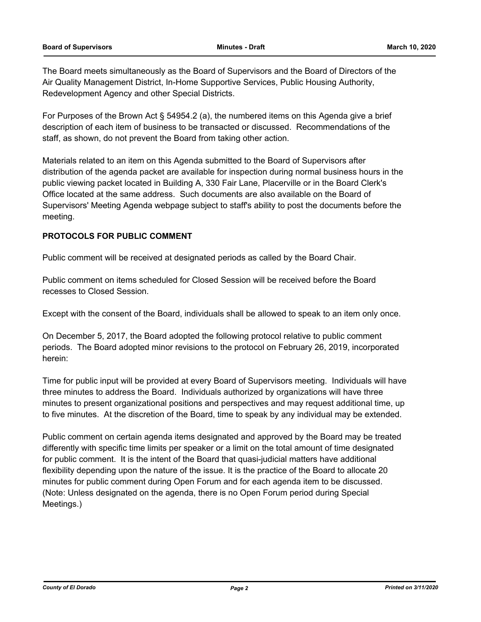The Board meets simultaneously as the Board of Supervisors and the Board of Directors of the Air Quality Management District, In-Home Supportive Services, Public Housing Authority, Redevelopment Agency and other Special Districts.

For Purposes of the Brown Act § 54954.2 (a), the numbered items on this Agenda give a brief description of each item of business to be transacted or discussed. Recommendations of the staff, as shown, do not prevent the Board from taking other action.

Materials related to an item on this Agenda submitted to the Board of Supervisors after distribution of the agenda packet are available for inspection during normal business hours in the public viewing packet located in Building A, 330 Fair Lane, Placerville or in the Board Clerk's Office located at the same address. Such documents are also available on the Board of Supervisors' Meeting Agenda webpage subject to staff's ability to post the documents before the meeting.

## **PROTOCOLS FOR PUBLIC COMMENT**

Public comment will be received at designated periods as called by the Board Chair.

Public comment on items scheduled for Closed Session will be received before the Board recesses to Closed Session.

Except with the consent of the Board, individuals shall be allowed to speak to an item only once.

On December 5, 2017, the Board adopted the following protocol relative to public comment periods. The Board adopted minor revisions to the protocol on February 26, 2019, incorporated herein:

Time for public input will be provided at every Board of Supervisors meeting. Individuals will have three minutes to address the Board. Individuals authorized by organizations will have three minutes to present organizational positions and perspectives and may request additional time, up to five minutes. At the discretion of the Board, time to speak by any individual may be extended.

Public comment on certain agenda items designated and approved by the Board may be treated differently with specific time limits per speaker or a limit on the total amount of time designated for public comment. It is the intent of the Board that quasi-judicial matters have additional flexibility depending upon the nature of the issue. It is the practice of the Board to allocate 20 minutes for public comment during Open Forum and for each agenda item to be discussed. (Note: Unless designated on the agenda, there is no Open Forum period during Special Meetings.)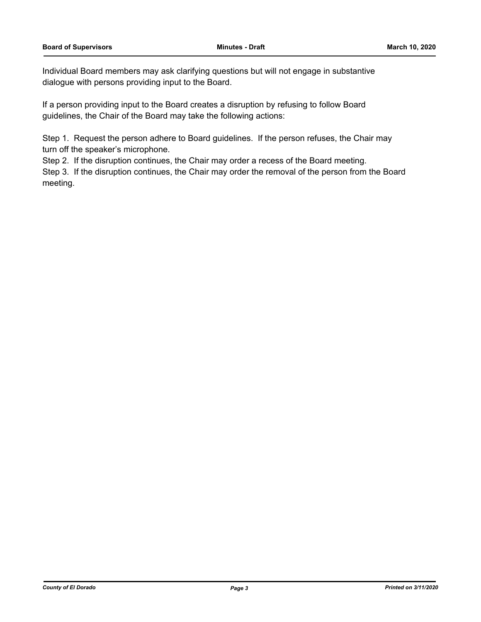Individual Board members may ask clarifying questions but will not engage in substantive dialogue with persons providing input to the Board.

If a person providing input to the Board creates a disruption by refusing to follow Board guidelines, the Chair of the Board may take the following actions:

Step 1. Request the person adhere to Board guidelines. If the person refuses, the Chair may turn off the speaker's microphone.

Step 2. If the disruption continues, the Chair may order a recess of the Board meeting.

Step 3. If the disruption continues, the Chair may order the removal of the person from the Board meeting.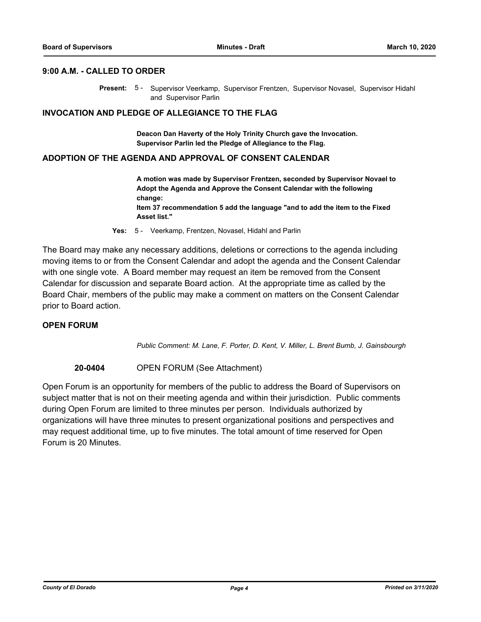#### **9:00 A.M. - CALLED TO ORDER**

Present: 5 - Supervisor Veerkamp, Supervisor Frentzen, Supervisor Novasel, Supervisor Hidahl and Supervisor Parlin

#### **INVOCATION AND PLEDGE OF ALLEGIANCE TO THE FLAG**

**Deacon Dan Haverty of the Holy Trinity Church gave the Invocation. Supervisor Parlin led the Pledge of Allegiance to the Flag.**

#### **ADOPTION OF THE AGENDA AND APPROVAL OF CONSENT CALENDAR**

**A motion was made by Supervisor Frentzen, seconded by Supervisor Novael to Adopt the Agenda and Approve the Consent Calendar with the following change: Item 37 recommendation 5 add the language "and to add the item to the Fixed Asset list."**

**Yes:** 5 - Veerkamp, Frentzen, Novasel, Hidahl and Parlin

The Board may make any necessary additions, deletions or corrections to the agenda including moving items to or from the Consent Calendar and adopt the agenda and the Consent Calendar with one single vote. A Board member may request an item be removed from the Consent Calendar for discussion and separate Board action. At the appropriate time as called by the Board Chair, members of the public may make a comment on matters on the Consent Calendar prior to Board action.

## **OPEN FORUM**

*Public Comment: M. Lane, F. Porter, D. Kent, V. Miller, L. Brent Bumb, J. Gainsbourgh*

#### **20-0404** OPEN FORUM (See Attachment)

Open Forum is an opportunity for members of the public to address the Board of Supervisors on subject matter that is not on their meeting agenda and within their jurisdiction. Public comments during Open Forum are limited to three minutes per person. Individuals authorized by organizations will have three minutes to present organizational positions and perspectives and may request additional time, up to five minutes. The total amount of time reserved for Open Forum is 20 Minutes.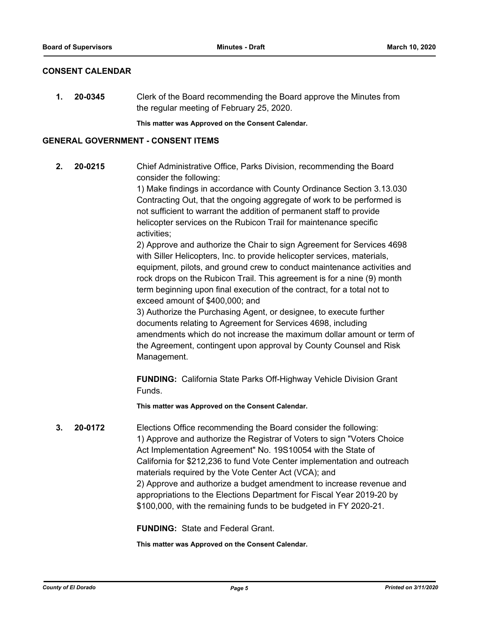#### **CONSENT CALENDAR**

**1. 20-0345** Clerk of the Board recommending the Board approve the Minutes from the regular meeting of February 25, 2020.

**This matter was Approved on the Consent Calendar.**

#### **GENERAL GOVERNMENT - CONSENT ITEMS**

**2. 20-0215** Chief Administrative Office, Parks Division, recommending the Board consider the following:

> 1) Make findings in accordance with County Ordinance Section 3.13.030 Contracting Out, that the ongoing aggregate of work to be performed is not sufficient to warrant the addition of permanent staff to provide helicopter services on the Rubicon Trail for maintenance specific activities;

2) Approve and authorize the Chair to sign Agreement for Services 4698 with Siller Helicopters, Inc. to provide helicopter services, materials, equipment, pilots, and ground crew to conduct maintenance activities and rock drops on the Rubicon Trail. This agreement is for a nine (9) month term beginning upon final execution of the contract, for a total not to exceed amount of \$400,000; and

3) Authorize the Purchasing Agent, or designee, to execute further documents relating to Agreement for Services 4698, including amendments which do not increase the maximum dollar amount or term of the Agreement, contingent upon approval by County Counsel and Risk Management.

**FUNDING:** California State Parks Off-Highway Vehicle Division Grant Funds.

**This matter was Approved on the Consent Calendar.**

**3. 20-0172** Elections Office recommending the Board consider the following: 1) Approve and authorize the Registrar of Voters to sign "Voters Choice Act Implementation Agreement" No. 19S10054 with the State of California for \$212,236 to fund Vote Center implementation and outreach materials required by the Vote Center Act (VCA); and 2) Approve and authorize a budget amendment to increase revenue and appropriations to the Elections Department for Fiscal Year 2019-20 by \$100,000, with the remaining funds to be budgeted in FY 2020-21.

**FUNDING:** State and Federal Grant.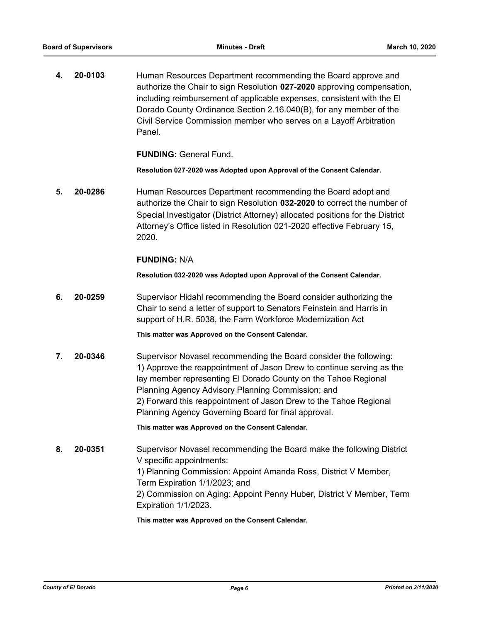**4. 20-0103** Human Resources Department recommending the Board approve and authorize the Chair to sign Resolution **027-2020** approving compensation, including reimbursement of applicable expenses, consistent with the El Dorado County Ordinance Section 2.16.040(B), for any member of the Civil Service Commission member who serves on a Layoff Arbitration Panel.

**FUNDING:** General Fund.

**Resolution 027-2020 was Adopted upon Approval of the Consent Calendar.**

**5. 20-0286** Human Resources Department recommending the Board adopt and authorize the Chair to sign Resolution **032-2020** to correct the number of Special Investigator (District Attorney) allocated positions for the District Attorney's Office listed in Resolution 021-2020 effective February 15, 2020.

#### **FUNDING:** N/A

**Resolution 032-2020 was Adopted upon Approval of the Consent Calendar.**

**6. 20-0259** Supervisor Hidahl recommending the Board consider authorizing the Chair to send a letter of support to Senators Feinstein and Harris in support of H.R. 5038, the Farm Workforce Modernization Act

#### **This matter was Approved on the Consent Calendar.**

**7. 20-0346** Supervisor Novasel recommending the Board consider the following: 1) Approve the reappointment of Jason Drew to continue serving as the lay member representing El Dorado County on the Tahoe Regional Planning Agency Advisory Planning Commission; and 2) Forward this reappointment of Jason Drew to the Tahoe Regional Planning Agency Governing Board for final approval.

**This matter was Approved on the Consent Calendar.**

**8. 20-0351** Supervisor Novasel recommending the Board make the following District V specific appointments: 1) Planning Commission: Appoint Amanda Ross, District V Member, Term Expiration 1/1/2023; and 2) Commission on Aging: Appoint Penny Huber, District V Member, Term Expiration 1/1/2023.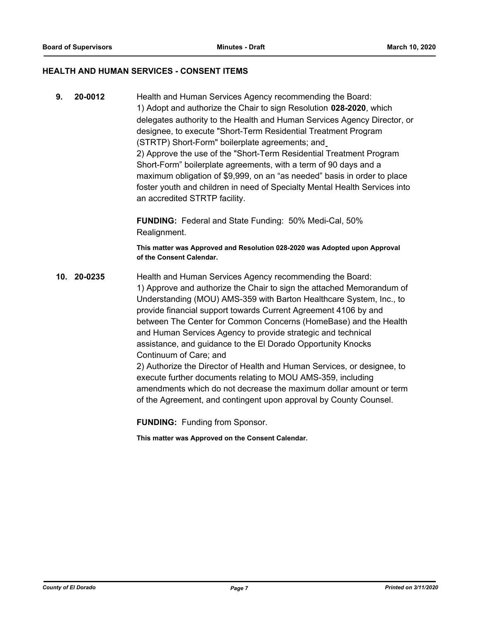#### **HEALTH AND HUMAN SERVICES - CONSENT ITEMS**

**9. 20-0012** Health and Human Services Agency recommending the Board: 1) Adopt and authorize the Chair to sign Resolution **028-2020**, which delegates authority to the Health and Human Services Agency Director, or designee, to execute "Short-Term Residential Treatment Program (STRTP) Short-Form" boilerplate agreements; and 2) Approve the use of the "Short-Term Residential Treatment Program Short-Form" boilerplate agreements, with a term of 90 days and a maximum obligation of \$9,999, on an "as needed" basis in order to place foster youth and children in need of Specialty Mental Health Services into an accredited STRTP facility.

> **FUNDING:** Federal and State Funding: 50% Medi-Cal, 50% Realignment.

**This matter was Approved and Resolution 028-2020 was Adopted upon Approval of the Consent Calendar.**

**10. 20-0235** Health and Human Services Agency recommending the Board: 1) Approve and authorize the Chair to sign the attached Memorandum of Understanding (MOU) AMS-359 with Barton Healthcare System, Inc., to provide financial support towards Current Agreement 4106 by and between The Center for Common Concerns (HomeBase) and the Health and Human Services Agency to provide strategic and technical assistance, and guidance to the El Dorado Opportunity Knocks Continuum of Care; and 2) Authorize the Director of Health and Human Services, or designee, to

execute further documents relating to MOU AMS-359, including amendments which do not decrease the maximum dollar amount or term of the Agreement, and contingent upon approval by County Counsel.

**FUNDING:** Funding from Sponsor.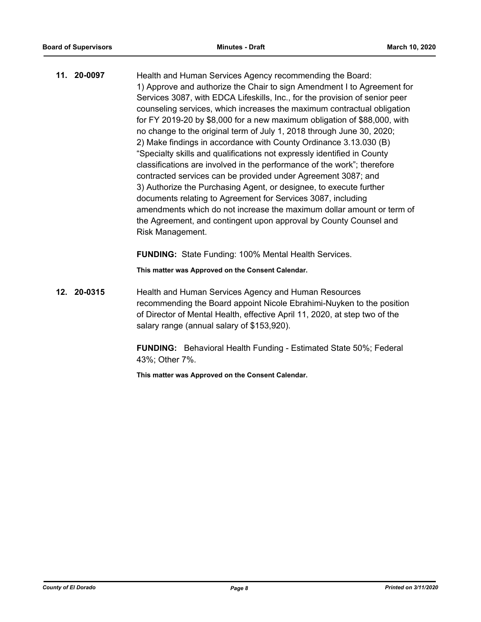**11. 20-0097** Health and Human Services Agency recommending the Board: 1) Approve and authorize the Chair to sign Amendment I to Agreement for Services 3087, with EDCA Lifeskills, Inc., for the provision of senior peer counseling services, which increases the maximum contractual obligation for FY 2019-20 by \$8,000 for a new maximum obligation of \$88,000, with no change to the original term of July 1, 2018 through June 30, 2020; 2) Make findings in accordance with County Ordinance 3.13.030 (B) "Specialty skills and qualifications not expressly identified in County classifications are involved in the performance of the work"; therefore contracted services can be provided under Agreement 3087; and 3) Authorize the Purchasing Agent, or designee, to execute further documents relating to Agreement for Services 3087, including amendments which do not increase the maximum dollar amount or term of the Agreement, and contingent upon approval by County Counsel and Risk Management.

**FUNDING:** State Funding: 100% Mental Health Services.

**This matter was Approved on the Consent Calendar.**

**12. 20-0315** Health and Human Services Agency and Human Resources recommending the Board appoint Nicole Ebrahimi-Nuyken to the position of Director of Mental Health, effective April 11, 2020, at step two of the salary range (annual salary of \$153,920).

> **FUNDING:** Behavioral Health Funding - Estimated State 50%; Federal 43%; Other 7%.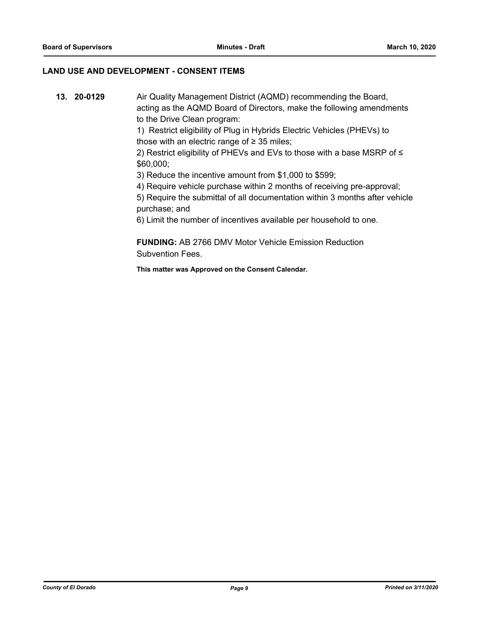## **LAND USE AND DEVELOPMENT - CONSENT ITEMS**

**13. 20-0129** Air Quality Management District (AQMD) recommending the Board, acting as the AQMD Board of Directors, make the following amendments to the Drive Clean program:

> 1) Restrict eligibility of Plug in Hybrids Electric Vehicles (PHEVs) to those with an electric range of  $\geq$  35 miles;

2) Restrict eligibility of PHEVs and EVs to those with a base MSRP of ≤ \$60,000;

3) Reduce the incentive amount from \$1,000 to \$599;

4) Require vehicle purchase within 2 months of receiving pre-approval;

5) Require the submittal of all documentation within 3 months after vehicle purchase; and

6) Limit the number of incentives available per household to one.

**FUNDING:** AB 2766 DMV Motor Vehicle Emission Reduction Subvention Fees.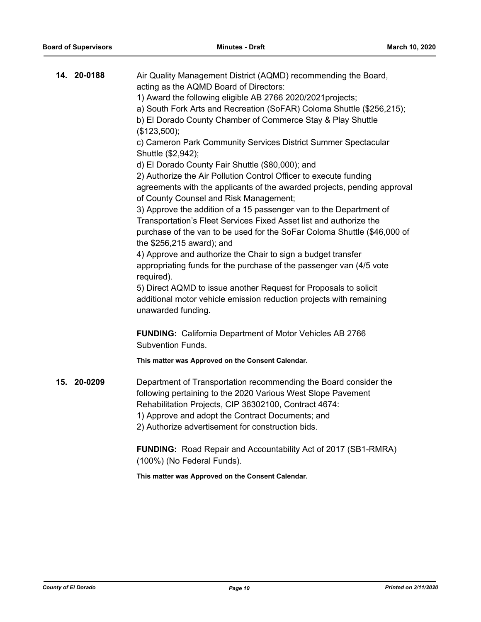| 14. 20-0188 | Air Quality Management District (AQMD) recommending the Board,<br>acting as the AQMD Board of Directors:<br>1) Award the following eligible AB 2766 2020/2021projects;<br>a) South Fork Arts and Recreation (SoFAR) Coloma Shuttle (\$256,215);<br>b) El Dorado County Chamber of Commerce Stay & Play Shuttle<br>(\$123,500); |
|-------------|--------------------------------------------------------------------------------------------------------------------------------------------------------------------------------------------------------------------------------------------------------------------------------------------------------------------------------|
|             | c) Cameron Park Community Services District Summer Spectacular<br>Shuttle (\$2,942);                                                                                                                                                                                                                                           |
|             | d) El Dorado County Fair Shuttle (\$80,000); and                                                                                                                                                                                                                                                                               |
|             | 2) Authorize the Air Pollution Control Officer to execute funding                                                                                                                                                                                                                                                              |
|             | agreements with the applicants of the awarded projects, pending approval<br>of County Counsel and Risk Management;                                                                                                                                                                                                             |
|             | 3) Approve the addition of a 15 passenger van to the Department of                                                                                                                                                                                                                                                             |
|             | Transportation's Fleet Services Fixed Asset list and authorize the                                                                                                                                                                                                                                                             |
|             | purchase of the van to be used for the SoFar Coloma Shuttle (\$46,000 of                                                                                                                                                                                                                                                       |
|             | the \$256,215 award); and                                                                                                                                                                                                                                                                                                      |
|             | 4) Approve and authorize the Chair to sign a budget transfer<br>appropriating funds for the purchase of the passenger van (4/5 vote                                                                                                                                                                                            |
|             | required).                                                                                                                                                                                                                                                                                                                     |
|             | 5) Direct AQMD to issue another Request for Proposals to solicit                                                                                                                                                                                                                                                               |
|             | additional motor vehicle emission reduction projects with remaining<br>unawarded funding.                                                                                                                                                                                                                                      |
|             | <b>FUNDING:</b> California Department of Motor Vehicles AB 2766<br>Subvention Funds.                                                                                                                                                                                                                                           |
|             | This matter was Approved on the Consent Calendar.                                                                                                                                                                                                                                                                              |
| 15. 20-0209 | Department of Transportation recommending the Board consider the<br>following pertaining to the 2020 Various West Slope Pavement<br>Rehabilitation Projects, CIP 36302100, Contract 4674:<br>1) Approve and adopt the Contract Documents; and<br>2) Authorize advertisement for construction bids.                             |
|             | <b>FUNDING:</b> Road Repair and Accountability Act of 2017 (SB1-RMRA)<br>(100%) (No Federal Funds).                                                                                                                                                                                                                            |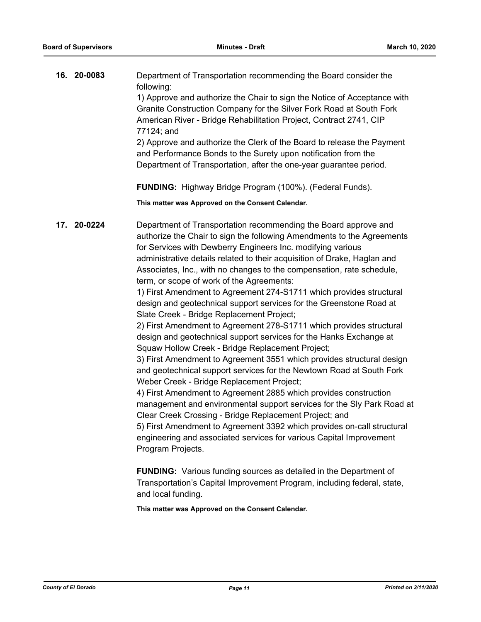| 16. 20-0083 | Department of Transportation recommending the Board consider the<br>following:                                                                                                                                                                                                                                                                                                                                                                                                                                                                                                                                                                                                                                                                                                                                                                                                                                                                                                                                                                                                                                                                                                                                                                                                                                                                                                     |
|-------------|------------------------------------------------------------------------------------------------------------------------------------------------------------------------------------------------------------------------------------------------------------------------------------------------------------------------------------------------------------------------------------------------------------------------------------------------------------------------------------------------------------------------------------------------------------------------------------------------------------------------------------------------------------------------------------------------------------------------------------------------------------------------------------------------------------------------------------------------------------------------------------------------------------------------------------------------------------------------------------------------------------------------------------------------------------------------------------------------------------------------------------------------------------------------------------------------------------------------------------------------------------------------------------------------------------------------------------------------------------------------------------|
|             | 1) Approve and authorize the Chair to sign the Notice of Acceptance with<br>Granite Construction Company for the Silver Fork Road at South Fork<br>American River - Bridge Rehabilitation Project, Contract 2741, CIP<br>77124; and                                                                                                                                                                                                                                                                                                                                                                                                                                                                                                                                                                                                                                                                                                                                                                                                                                                                                                                                                                                                                                                                                                                                                |
|             | 2) Approve and authorize the Clerk of the Board to release the Payment<br>and Performance Bonds to the Surety upon notification from the<br>Department of Transportation, after the one-year guarantee period.                                                                                                                                                                                                                                                                                                                                                                                                                                                                                                                                                                                                                                                                                                                                                                                                                                                                                                                                                                                                                                                                                                                                                                     |
|             | FUNDING: Highway Bridge Program (100%). (Federal Funds).                                                                                                                                                                                                                                                                                                                                                                                                                                                                                                                                                                                                                                                                                                                                                                                                                                                                                                                                                                                                                                                                                                                                                                                                                                                                                                                           |
|             | This matter was Approved on the Consent Calendar.                                                                                                                                                                                                                                                                                                                                                                                                                                                                                                                                                                                                                                                                                                                                                                                                                                                                                                                                                                                                                                                                                                                                                                                                                                                                                                                                  |
| 17. 20-0224 | Department of Transportation recommending the Board approve and<br>authorize the Chair to sign the following Amendments to the Agreements<br>for Services with Dewberry Engineers Inc. modifying various<br>administrative details related to their acquisition of Drake, Haglan and<br>Associates, Inc., with no changes to the compensation, rate schedule,<br>term, or scope of work of the Agreements:<br>1) First Amendment to Agreement 274-S1711 which provides structural<br>design and geotechnical support services for the Greenstone Road at<br>Slate Creek - Bridge Replacement Project;<br>2) First Amendment to Agreement 278-S1711 which provides structural<br>design and geotechnical support services for the Hanks Exchange at<br>Squaw Hollow Creek - Bridge Replacement Project;<br>3) First Amendment to Agreement 3551 which provides structural design<br>and geotechnical support services for the Newtown Road at South Fork<br>Weber Creek - Bridge Replacement Project;<br>4) First Amendment to Agreement 2885 which provides construction<br>management and environmental support services for the SIy Park Road at<br>Clear Creek Crossing - Bridge Replacement Project; and<br>5) First Amendment to Agreement 3392 which provides on-call structural<br>engineering and associated services for various Capital Improvement<br>Program Projects. |
|             | <b>FUNDING:</b> Various funding sources as detailed in the Department of<br>Transportation's Capital Improvement Program, including federal, state,                                                                                                                                                                                                                                                                                                                                                                                                                                                                                                                                                                                                                                                                                                                                                                                                                                                                                                                                                                                                                                                                                                                                                                                                                                |

and local funding.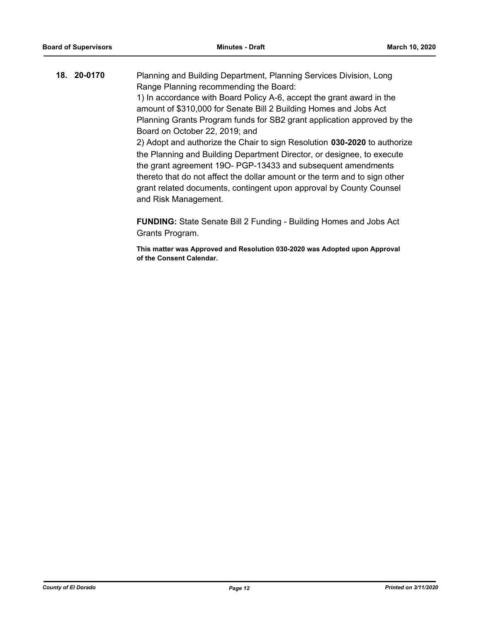| 18. 20-0170 | Planning and Building Department, Planning Services Division, Long                                                                                                        |
|-------------|---------------------------------------------------------------------------------------------------------------------------------------------------------------------------|
|             | Range Planning recommending the Board:                                                                                                                                    |
|             | 1) In accordance with Board Policy A-6, accept the grant award in the                                                                                                     |
|             | amount of \$310,000 for Senate Bill 2 Building Homes and Jobs Act                                                                                                         |
|             | Planning Grants Program funds for SB2 grant application approved by the                                                                                                   |
|             | Board on October 22, 2019; and                                                                                                                                            |
|             | 2) Adopt and authorize the Chair to sign Resolution 030-2020 to authorize                                                                                                 |
|             | the Planning and Building Department Director, or designee, to execute<br>the grant agreement 190- PGP-13433 and subsequent amendments                                    |
|             | thereto that do not affect the dollar amount or the term and to sign other<br>grant related documents, contingent upon approval by County Counsel<br>and Risk Management. |
|             |                                                                                                                                                                           |

**FUNDING:** State Senate Bill 2 Funding - Building Homes and Jobs Act Grants Program.

**This matter was Approved and Resolution 030-2020 was Adopted upon Approval of the Consent Calendar.**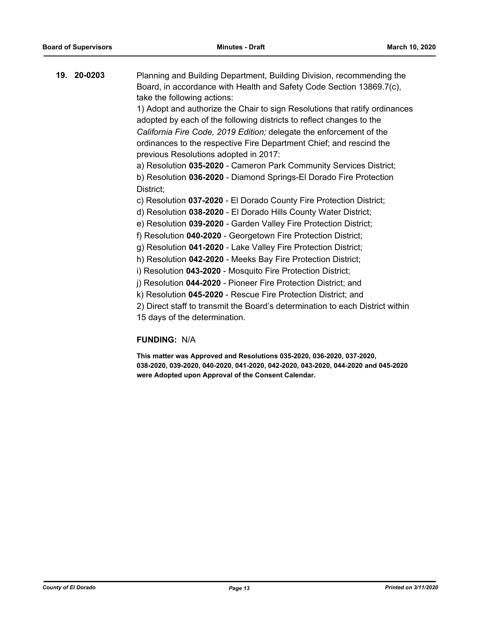**19. 20-0203** Planning and Building Department, Building Division, recommending the Board, in accordance with Health and Safety Code Section 13869.7(c), take the following actions:

> 1) Adopt and authorize the Chair to sign Resolutions that ratify ordinances adopted by each of the following districts to reflect changes to the *California Fire Code, 2019 Edition;* delegate the enforcement of the ordinances to the respective Fire Department Chief; and rescind the previous Resolutions adopted in 2017:

a) Resolution **035-2020** - Cameron Park Community Services District;

b) Resolution **036-2020** - Diamond Springs-El Dorado Fire Protection District;

c) Resolution **037-2020** - El Dorado County Fire Protection District;

d) Resolution **038-2020** - El Dorado Hills County Water District;

e) Resolution **039-2020** - Garden Valley Fire Protection District;

f) Resolution **040-2020** - Georgetown Fire Protection District;

g) Resolution **041-2020** - Lake Valley Fire Protection District;

h) Resolution **042-2020** - Meeks Bay Fire Protection District;

i) Resolution **043-2020** - Mosquito Fire Protection District;

j) Resolution **044-2020** - Pioneer Fire Protection District; and

k) Resolution **045-2020** - Rescue Fire Protection District; and

2) Direct staff to transmit the Board's determination to each District within

15 days of the determination.

## **FUNDING:** N/A

**This matter was Approved and Resolutions 035-2020, 036-2020, 037-2020, 038-2020, 039-2020, 040-2020, 041-2020, 042-2020, 043-2020, 044-2020 and 045-2020 were Adopted upon Approval of the Consent Calendar.**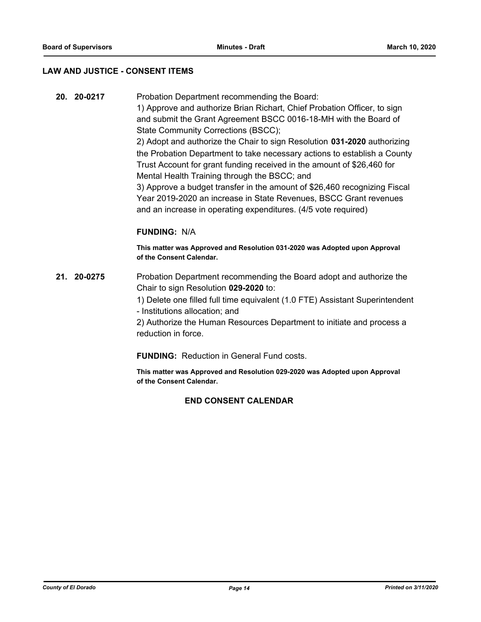#### **LAW AND JUSTICE - CONSENT ITEMS**

**20. 20-0217** Probation Department recommending the Board: 1) Approve and authorize Brian Richart, Chief Probation Officer, to sign and submit the Grant Agreement BSCC 0016-18-MH with the Board of State Community Corrections (BSCC); 2) Adopt and authorize the Chair to sign Resolution **031-2020** authorizing the Probation Department to take necessary actions to establish a County Trust Account for grant funding received in the amount of \$26,460 for Mental Health Training through the BSCC; and 3) Approve a budget transfer in the amount of \$26,460 recognizing Fiscal Year 2019-2020 an increase in State Revenues, BSCC Grant revenues and an increase in operating expenditures. (4/5 vote required)

#### **FUNDING:** N/A

**This matter was Approved and Resolution 031-2020 was Adopted upon Approval of the Consent Calendar.**

**21. 20-0275** Probation Department recommending the Board adopt and authorize the Chair to sign Resolution **029-2020** to:

> 1) Delete one filled full time equivalent (1.0 FTE) Assistant Superintendent - Institutions allocation; and

2) Authorize the Human Resources Department to initiate and process a reduction in force.

**FUNDING:** Reduction in General Fund costs.

**This matter was Approved and Resolution 029-2020 was Adopted upon Approval of the Consent Calendar.**

## **END CONSENT CALENDAR**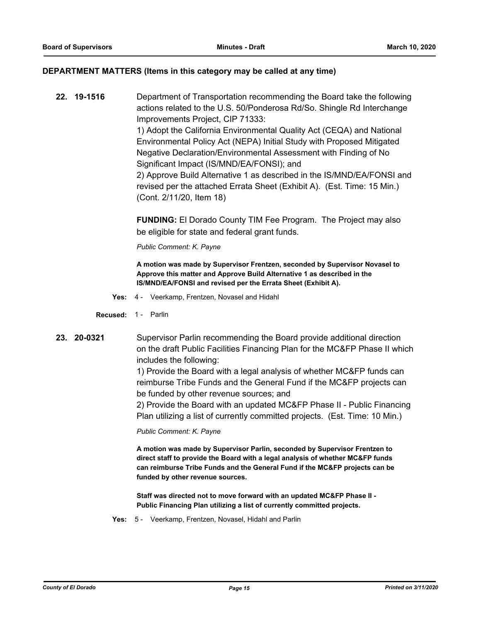#### **DEPARTMENT MATTERS (Items in this category may be called at any time)**

**22. 19-1516** Department of Transportation recommending the Board take the following actions related to the U.S. 50/Ponderosa Rd/So. Shingle Rd Interchange Improvements Project, CIP 71333: 1) Adopt the California Environmental Quality Act (CEQA) and National Environmental Policy Act (NEPA) Initial Study with Proposed Mitigated Negative Declaration/Environmental Assessment with Finding of No Significant Impact (IS/MND/EA/FONSI); and 2) Approve Build Alternative 1 as described in the IS/MND/EA/FONSI and revised per the attached Errata Sheet (Exhibit A). (Est. Time: 15 Min.) (Cont. 2/11/20, Item 18)

> **FUNDING:** El Dorado County TIM Fee Program. The Project may also be eligible for state and federal grant funds.

*Public Comment: K. Payne*

**A motion was made by Supervisor Frentzen, seconded by Supervisor Novasel to Approve this matter and Approve Build Alternative 1 as described in the IS/MND/EA/FONSI and revised per the Errata Sheet (Exhibit A).**

- **Yes:** 4 Veerkamp, Frentzen, Novasel and Hidahl
- **Recused:** 1 Parlin
- **23. 20-0321** Supervisor Parlin recommending the Board provide additional direction on the draft Public Facilities Financing Plan for the MC&FP Phase II which includes the following:

1) Provide the Board with a legal analysis of whether MC&FP funds can reimburse Tribe Funds and the General Fund if the MC&FP projects can be funded by other revenue sources; and

2) Provide the Board with an updated MC&FP Phase II - Public Financing Plan utilizing a list of currently committed projects. (Est. Time: 10 Min.)

*Public Comment: K. Payne*

**A motion was made by Supervisor Parlin, seconded by Supervisor Frentzen to direct staff to provide the Board with a legal analysis of whether MC&FP funds can reimburse Tribe Funds and the General Fund if the MC&FP projects can be funded by other revenue sources.**

**Staff was directed not to move forward with an updated MC&FP Phase II - Public Financing Plan utilizing a list of currently committed projects.**

**Yes:** 5 - Veerkamp, Frentzen, Novasel, Hidahl and Parlin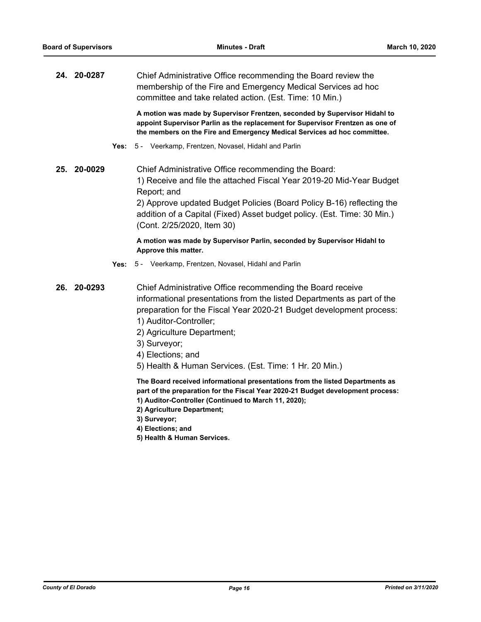| 24. 20-0287 |      | Chief Administrative Office recommending the Board review the<br>membership of the Fire and Emergency Medical Services ad hoc<br>committee and take related action. (Est. Time: 10 Min.)                                                                                                                                                                           |
|-------------|------|--------------------------------------------------------------------------------------------------------------------------------------------------------------------------------------------------------------------------------------------------------------------------------------------------------------------------------------------------------------------|
|             |      | A motion was made by Supervisor Frentzen, seconded by Supervisor Hidahl to<br>appoint Supervisor Parlin as the replacement for Supervisor Frentzen as one of<br>the members on the Fire and Emergency Medical Services ad hoc committee.                                                                                                                           |
|             | Yes: | 5 - Veerkamp, Frentzen, Novasel, Hidahl and Parlin                                                                                                                                                                                                                                                                                                                 |
| 25. 20-0029 |      | Chief Administrative Office recommending the Board:<br>1) Receive and file the attached Fiscal Year 2019-20 Mid-Year Budget<br>Report; and<br>2) Approve updated Budget Policies (Board Policy B-16) reflecting the<br>addition of a Capital (Fixed) Asset budget policy. (Est. Time: 30 Min.)<br>(Cont. 2/25/2020, Item 30)                                       |
|             |      | A motion was made by Supervisor Parlin, seconded by Supervisor Hidahl to<br>Approve this matter.                                                                                                                                                                                                                                                                   |
|             | Yes: | 5 - Veerkamp, Frentzen, Novasel, Hidahl and Parlin                                                                                                                                                                                                                                                                                                                 |
| 26. 20-0293 |      | Chief Administrative Office recommending the Board receive<br>informational presentations from the listed Departments as part of the<br>preparation for the Fiscal Year 2020-21 Budget development process:<br>1) Auditor-Controller;<br>2) Agriculture Department;<br>3) Surveyor;<br>4) Elections; and<br>5) Health & Human Services. (Est. Time: 1 Hr. 20 Min.) |
|             |      | The Board received informational presentations from the listed Departments as<br>part of the preparation for the Fiscal Year 2020-21 Budget development process:<br>1) Auditor-Controller (Continued to March 11, 2020);<br>2) Agriculture Department;<br>3) Surveyor;<br>4) Elections; and                                                                        |

**5) Health & Human Services.**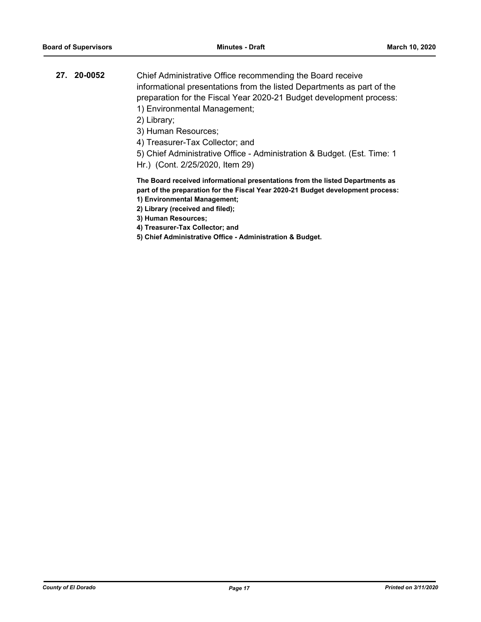**27. 20-0052** Chief Administrative Office recommending the Board receive informational presentations from the listed Departments as part of the preparation for the Fiscal Year 2020-21 Budget development process: 1) Environmental Management;

2) Library;

3) Human Resources;

4) Treasurer-Tax Collector; and

5) Chief Administrative Office - Administration & Budget. (Est. Time: 1 Hr.) (Cont. 2/25/2020, Item 29)

**The Board received informational presentations from the listed Departments as part of the preparation for the Fiscal Year 2020-21 Budget development process:**

**1) Environmental Management;** 

**2) Library (received and filed);**

**3) Human Resources;** 

**4) Treasurer-Tax Collector; and**

**5) Chief Administrative Office - Administration & Budget.**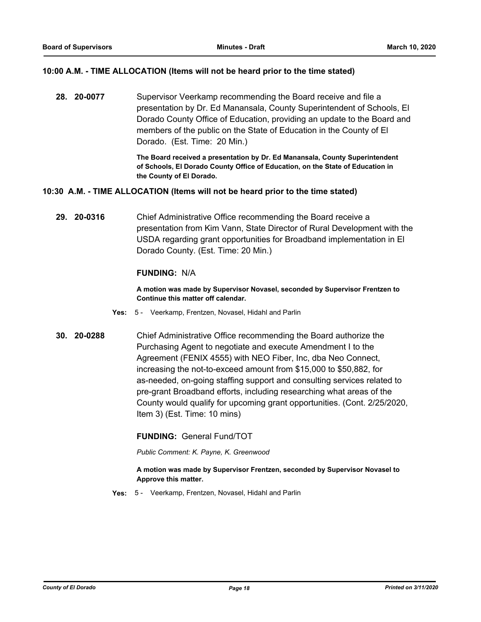#### **10:00 A.M. - TIME ALLOCATION (Items will not be heard prior to the time stated)**

**28. 20-0077** Supervisor Veerkamp recommending the Board receive and file a presentation by Dr. Ed Manansala, County Superintendent of Schools, El Dorado County Office of Education, providing an update to the Board and members of the public on the State of Education in the County of El Dorado. (Est. Time: 20 Min.)

> **The Board received a presentation by Dr. Ed Manansala, County Superintendent of Schools, El Dorado County Office of Education, on the State of Education in the County of El Dorado.**

#### **10:30 A.M. - TIME ALLOCATION (Items will not be heard prior to the time stated)**

**29. 20-0316** Chief Administrative Office recommending the Board receive a presentation from Kim Vann, State Director of Rural Development with the USDA regarding grant opportunities for Broadband implementation in El Dorado County. (Est. Time: 20 Min.)

#### **FUNDING:** N/A

**A motion was made by Supervisor Novasel, seconded by Supervisor Frentzen to Continue this matter off calendar.**

- **Yes:** 5 Veerkamp, Frentzen, Novasel, Hidahl and Parlin
- **30. 20-0288** Chief Administrative Office recommending the Board authorize the Purchasing Agent to negotiate and execute Amendment I to the Agreement (FENIX 4555) with NEO Fiber, Inc, dba Neo Connect, increasing the not-to-exceed amount from \$15,000 to \$50,882, for as-needed, on-going staffing support and consulting services related to pre-grant Broadband efforts, including researching what areas of the County would qualify for upcoming grant opportunities. (Cont. 2/25/2020, Item 3) (Est. Time: 10 mins)

## **FUNDING:** General Fund/TOT

*Public Comment: K. Payne, K. Greenwood*

#### **A motion was made by Supervisor Frentzen, seconded by Supervisor Novasel to Approve this matter.**

**Yes:** 5 - Veerkamp, Frentzen, Novasel, Hidahl and Parlin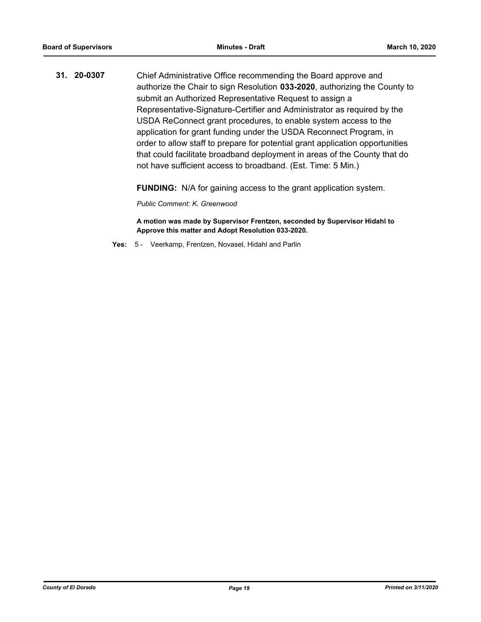**31. 20-0307** Chief Administrative Office recommending the Board approve and authorize the Chair to sign Resolution **033-2020**, authorizing the County to submit an Authorized Representative Request to assign a Representative-Signature-Certifier and Administrator as required by the USDA ReConnect grant procedures, to enable system access to the application for grant funding under the USDA Reconnect Program, in order to allow staff to prepare for potential grant application opportunities that could facilitate broadband deployment in areas of the County that do not have sufficient access to broadband. (Est. Time: 5 Min.)

**FUNDING:** N/A for gaining access to the grant application system.

*Public Comment: K. Greenwood*

**A motion was made by Supervisor Frentzen, seconded by Supervisor Hidahl to Approve this matter and Adopt Resolution 033-2020.**

**Yes:** 5 - Veerkamp, Frentzen, Novasel, Hidahl and Parlin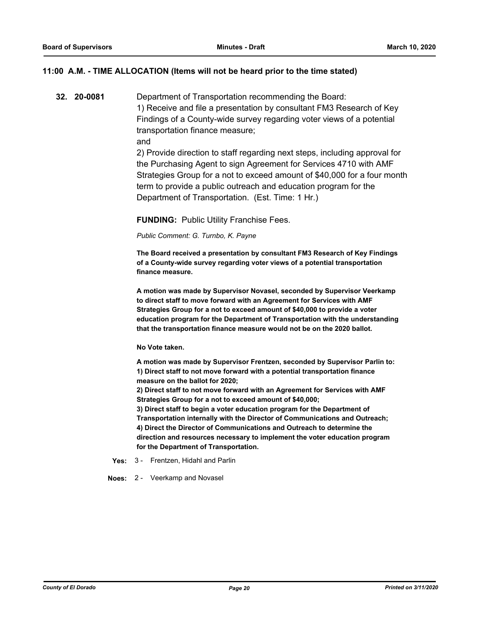#### **11:00 A.M. - TIME ALLOCATION (Items will not be heard prior to the time stated)**

**32. 20-0081** Department of Transportation recommending the Board: 1) Receive and file a presentation by consultant FM3 Research of Key Findings of a County-wide survey regarding voter views of a potential transportation finance measure; and 2) Provide direction to staff regarding next steps, including approval for

the Purchasing Agent to sign Agreement for Services 4710 with AMF Strategies Group for a not to exceed amount of \$40,000 for a four month term to provide a public outreach and education program for the Department of Transportation. (Est. Time: 1 Hr.)

**FUNDING:** Public Utility Franchise Fees.

*Public Comment: G. Turnbo, K. Payne*

**The Board received a presentation by consultant FM3 Research of Key Findings of a County-wide survey regarding voter views of a potential transportation finance measure.** 

**A motion was made by Supervisor Novasel, seconded by Supervisor Veerkamp to direct staff to move forward with an Agreement for Services with AMF Strategies Group for a not to exceed amount of \$40,000 to provide a voter education program for the Department of Transportation with the understanding that the transportation finance measure would not be on the 2020 ballot.** 

**No Vote taken.**

**A motion was made by Supervisor Frentzen, seconded by Supervisor Parlin to: 1) Direct staff to not move forward with a potential transportation finance measure on the ballot for 2020;**

**2) Direct staff to not move forward with an Agreement for Services with AMF Strategies Group for a not to exceed amount of \$40,000;**

**3) Direct staff to begin a voter education program for the Department of Transportation internally with the Director of Communications and Outreach; 4) Direct the Director of Communications and Outreach to determine the direction and resources necessary to implement the voter education program for the Department of Transportation.**

**Yes:** 3 - Frentzen, Hidahl and Parlin

**Noes:** 2 - Veerkamp and Novasel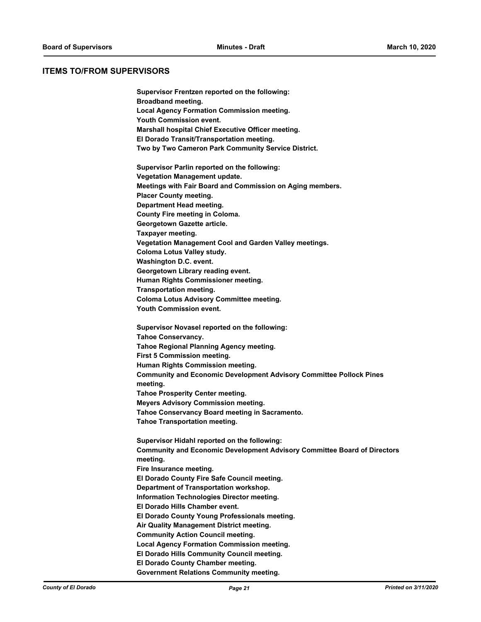#### **ITEMS TO/FROM SUPERVISORS**

**Supervisor Frentzen reported on the following: Broadband meeting. Local Agency Formation Commission meeting. Youth Commission event. Marshall hospital Chief Executive Officer meeting. El Dorado Transit/Transportation meeting. Two by Two Cameron Park Community Service District. Supervisor Parlin reported on the following: Vegetation Management update. Meetings with Fair Board and Commission on Aging members. Placer County meeting. Department Head meeting. County Fire meeting in Coloma. Georgetown Gazette article. Taxpayer meeting. Vegetation Management Cool and Garden Valley meetings. Coloma Lotus Valley study. Washington D.C. event. Georgetown Library reading event. Human Rights Commissioner meeting. Transportation meeting. Coloma Lotus Advisory Committee meeting. Youth Commission event. Supervisor Novasel reported on the following: Tahoe Conservancy. Tahoe Regional Planning Agency meeting. First 5 Commission meeting. Human Rights Commission meeting. Community and Economic Development Advisory Committee Pollock Pines meeting. Tahoe Prosperity Center meeting. Meyers Advisory Commission meeting. Tahoe Conservancy Board meeting in Sacramento. Tahoe Transportation meeting. Supervisor Hidahl reported on the following: Community and Economic Development Advisory Committee Board of Directors meeting. Fire Insurance meeting. El Dorado County Fire Safe Council meeting. Department of Transportation workshop. Information Technologies Director meeting. El Dorado Hills Chamber event. El Dorado County Young Professionals meeting. Air Quality Management District meeting. Community Action Council meeting. Local Agency Formation Commission meeting. El Dorado Hills Community Council meeting. El Dorado County Chamber meeting. Government Relations Community meeting.**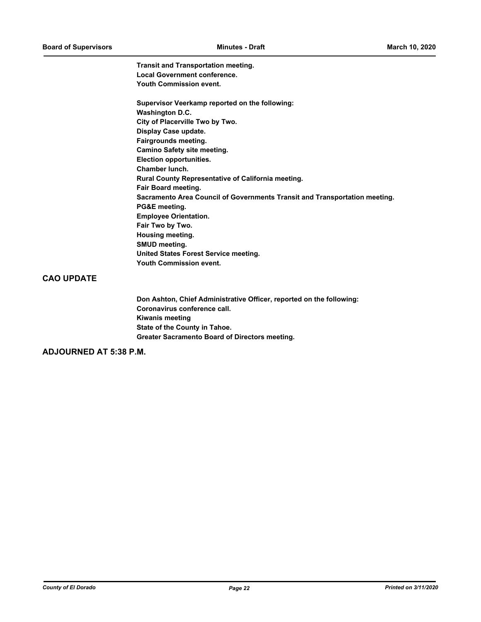**Transit and Transportation meeting. Local Government conference. Youth Commission event.**

**Supervisor Veerkamp reported on the following: Washington D.C. City of Placerville Two by Two. Display Case update. Fairgrounds meeting. Camino Safety site meeting. Election opportunities. Chamber lunch. Rural County Representative of California meeting. Fair Board meeting. Sacramento Area Council of Governments Transit and Transportation meeting. PG&E meeting. Employee Orientation. Fair Two by Two. Housing meeting. SMUD meeting. United States Forest Service meeting. Youth Commission event.**

#### **CAO UPDATE**

**Don Ashton, Chief Administrative Officer, reported on the following: Coronavirus conference call. Kiwanis meeting State of the County in Tahoe. Greater Sacramento Board of Directors meeting.**

**ADJOURNED AT 5:38 P.M.**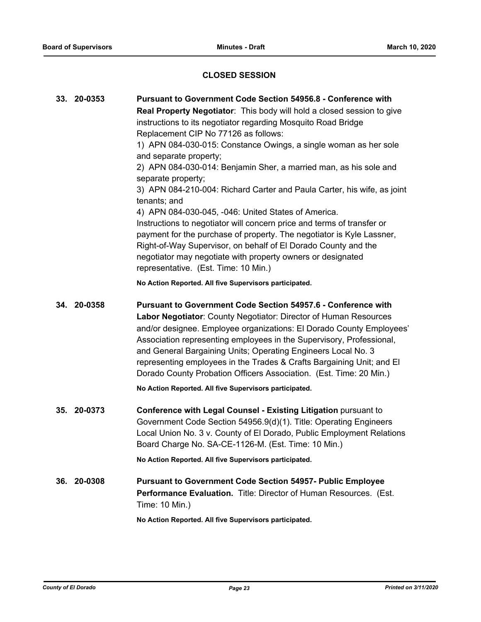## **CLOSED SESSION**

**33. 20-0353 Pursuant to Government Code Section 54956.8 - Conference with Real Property Negotiator**: This body will hold a closed session to give instructions to its negotiator regarding Mosquito Road Bridge Replacement CIP No 77126 as follows: 1) APN 084-030-015: Constance Owings, a single woman as her sole and separate property; 2) APN 084-030-014: Benjamin Sher, a married man, as his sole and separate property; 3) APN 084-210-004: Richard Carter and Paula Carter, his wife, as joint tenants; and 4) APN 084-030-045, -046: United States of America. Instructions to negotiator will concern price and terms of transfer or payment for the purchase of property. The negotiator is Kyle Lassner, Right-of-Way Supervisor, on behalf of El Dorado County and the negotiator may negotiate with property owners or designated representative. (Est. Time: 10 Min.) **No Action Reported. All five Supervisors participated. 34. 20-0358 Pursuant to Government Code Section 54957.6 - Conference with Labor Negotiator**: County Negotiator: Director of Human Resources and/or designee. Employee organizations: El Dorado County Employees' Association representing employees in the Supervisory, Professional, and General Bargaining Units; Operating Engineers Local No. 3 representing employees in the Trades & Crafts Bargaining Unit; and El Dorado County Probation Officers Association. (Est. Time: 20 Min.) **No Action Reported. All five Supervisors participated. 35. 20-0373 Conference with Legal Counsel - Existing Litigation** pursuant to Government Code Section 54956.9(d)(1). Title: Operating Engineers Local Union No. 3 v. County of El Dorado, Public Employment Relations Board Charge No. SA-CE-1126-M. (Est. Time: 10 Min.) **No Action Reported. All five Supervisors participated. 36. 20-0308 Pursuant to Government Code Section 54957- Public Employee Performance Evaluation.** Title: Director of Human Resources. (Est. Time: 10 Min.) **No Action Reported. All five Supervisors participated.**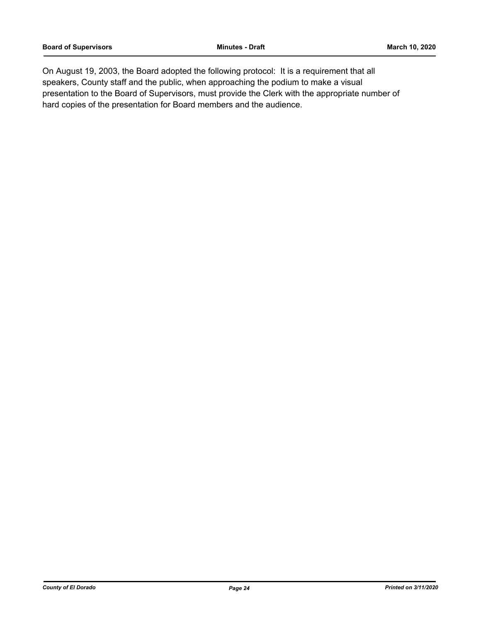On August 19, 2003, the Board adopted the following protocol: It is a requirement that all speakers, County staff and the public, when approaching the podium to make a visual presentation to the Board of Supervisors, must provide the Clerk with the appropriate number of hard copies of the presentation for Board members and the audience.